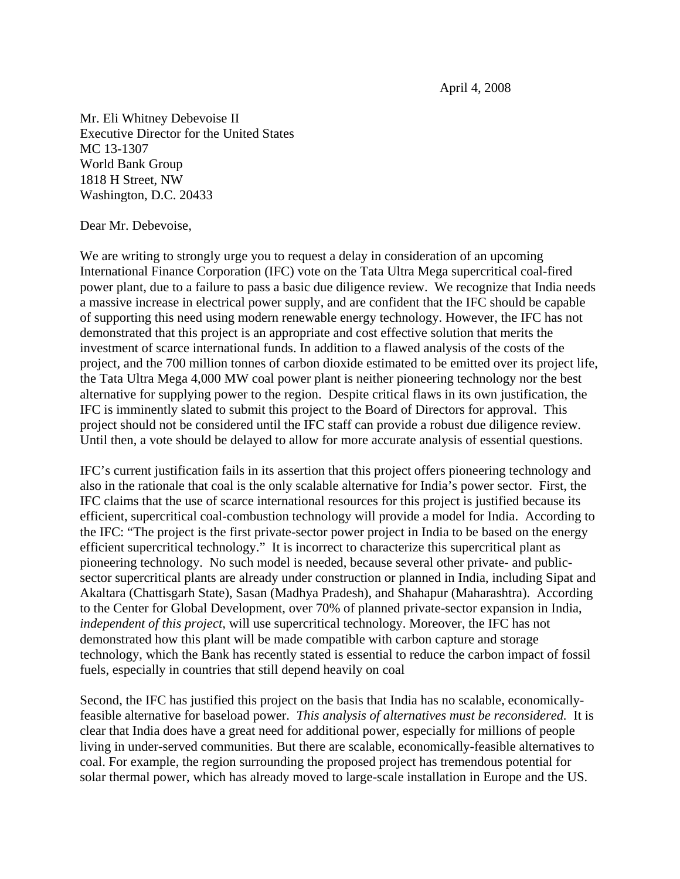April 4, 2008

Mr. Eli Whitney Debevoise II Executive Director for the United States MC 13-1307 World Bank Group 1818 H Street, NW Washington, D.C. 20433

## Dear Mr. Debevoise,

We are writing to strongly urge you to request a delay in consideration of an upcoming International Finance Corporation (IFC) vote on the Tata Ultra Mega supercritical coal-fired power plant, due to a failure to pass a basic due diligence review. We recognize that India needs a massive increase in electrical power supply, and are confident that the IFC should be capable of supporting this need using modern renewable energy technology. However, the IFC has not demonstrated that this project is an appropriate and cost effective solution that merits the investment of scarce international funds. In addition to a flawed analysis of the costs of the project, and the 700 million tonnes of carbon dioxide estimated to be emitted over its project life, the Tata Ultra Mega 4,000 MW coal power plant is neither pioneering technology nor the best alternative for supplying power to the region. Despite critical flaws in its own justification, the IFC is imminently slated to submit this project to the Board of Directors for approval. This project should not be considered until the IFC staff can provide a robust due diligence review. Until then, a vote should be delayed to allow for more accurate analysis of essential questions.

IFC's current justification fails in its assertion that this project offers pioneering technology and also in the rationale that coal is the only scalable alternative for India's power sector. First, the IFC claims that the use of scarce international resources for this project is justified because its efficient, supercritical coal-combustion technology will provide a model for India. According to the IFC: "The project is the first private-sector power project in India to be based on the energy efficient supercritical technology." It is incorrect to characterize this supercritical plant as pioneering technology. No such model is needed, because several other private- and publicsector supercritical plants are already under construction or planned in India, including Sipat and Akaltara (Chattisgarh State), Sasan (Madhya Pradesh), and Shahapur (Maharashtra). According to the Center for Global Development, over 70% of planned private-sector expansion in India, *independent of this project,* will use supercritical technology. Moreover, the IFC has not demonstrated how this plant will be made compatible with carbon capture and storage technology, which the Bank has recently stated is essential to reduce the carbon impact of fossil fuels, especially in countries that still depend heavily on coal

Second, the IFC has justified this project on the basis that India has no scalable, economicallyfeasible alternative for baseload power. *This analysis of alternatives must be reconsidered.* It is clear that India does have a great need for additional power, especially for millions of people living in under-served communities. But there are scalable, economically-feasible alternatives to coal. For example, the region surrounding the proposed project has tremendous potential for solar thermal power, which has already moved to large-scale installation in Europe and the US.